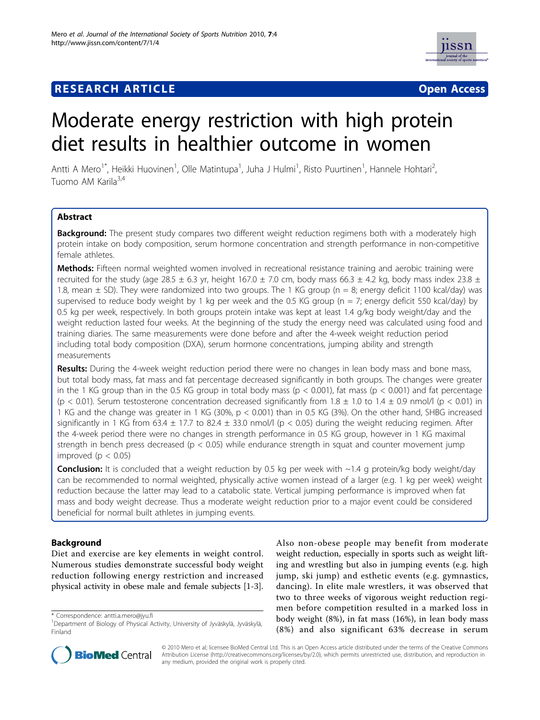# **RESEARCH ARTICLE Example 2014 CONSUMING A CONSUMING A CONSUMING A CONSUMING A CONSUMING A CONSUMING A CONSUMING A CONSUMING A CONSUMING A CONSUMING A CONSUMING A CONSUMING A CONSUMING A CONSUMING A CONSUMING A CONSUMI**



# Moderate energy restriction with high protein diet results in healthier outcome in women

Antti A Mero<sup>1\*</sup>, Heikki Huovinen<sup>1</sup>, Olle Matintupa<sup>1</sup>, Juha J Hulmi<sup>1</sup>, Risto Puurtinen<sup>1</sup>, Hannele Hohtari<sup>2</sup> , Tuomo AM Karila<sup>3,4</sup>

# Abstract

Background: The present study compares two different weight reduction regimens both with a moderately high protein intake on body composition, serum hormone concentration and strength performance in non-competitive female athletes.

**Methods:** Fifteen normal weighted women involved in recreational resistance training and aerobic training were recruited for the study (age 28.5  $\pm$  6.3 yr, height 167.0  $\pm$  7.0 cm, body mass 66.3  $\pm$  4.2 kg, body mass index 23.8  $\pm$ 1.8, mean  $\pm$  SD). They were randomized into two groups. The 1 KG group ( $n = 8$ ; energy deficit 1100 kcal/day) was supervised to reduce body weight by 1 kg per week and the 0.5 KG group ( $n = 7$ ; energy deficit 550 kcal/day) by 0.5 kg per week, respectively. In both groups protein intake was kept at least 1.4 g/kg body weight/day and the weight reduction lasted four weeks. At the beginning of the study the energy need was calculated using food and training diaries. The same measurements were done before and after the 4-week weight reduction period including total body composition (DXA), serum hormone concentrations, jumping ability and strength measurements

Results: During the 4-week weight reduction period there were no changes in lean body mass and bone mass, but total body mass, fat mass and fat percentage decreased significantly in both groups. The changes were greater in the 1 KG group than in the 0.5 KG group in total body mass ( $p < 0.001$ ), fat mass ( $p < 0.001$ ) and fat percentage (p < 0.01). Serum testosterone concentration decreased significantly from  $1.8 \pm 1.0$  to  $1.4 \pm 0.9$  nmol/l (p < 0.01) in 1 KG and the change was greater in 1 KG (30%, p < 0.001) than in 0.5 KG (3%). On the other hand, SHBG increased significantly in 1 KG from 63.4  $\pm$  17.7 to 82.4  $\pm$  33.0 nmol/l (p < 0.05) during the weight reducing regimen. After the 4-week period there were no changes in strength performance in 0.5 KG group, however in 1 KG maximal strength in bench press decreased ( $p < 0.05$ ) while endurance strength in squat and counter movement jump improved ( $p < 0.05$ )

**Conclusion:** It is concluded that a weight reduction by 0.5 kg per week with ~1.4 g protein/kg body weight/day can be recommended to normal weighted, physically active women instead of a larger (e.g. 1 kg per week) weight reduction because the latter may lead to a catabolic state. Vertical jumping performance is improved when fat mass and body weight decrease. Thus a moderate weight reduction prior to a major event could be considered beneficial for normal built athletes in jumping events.

# Background

Diet and exercise are key elements in weight control. Numerous studies demonstrate successful body weight reduction following energy restriction and increased physical activity in obese male and female subjects [[1-3](#page-9-0)].

\* Correspondence: [antti.a.mero@jyu.fi](mailto:antti.a.mero@jyu.fi)

Also non-obese people may benefit from moderate weight reduction, especially in sports such as weight lifting and wrestling but also in jumping events (e.g. high jump, ski jump) and esthetic events (e.g. gymnastics, dancing). In elite male wrestlers, it was observed that two to three weeks of vigorous weight reduction regimen before competition resulted in a marked loss in body weight (8%), in fat mass (16%), in lean body mass (8%) and also significant 63% decrease in serum



© 2010 Mero et al; licensee BioMed Central Ltd. This is an Open Access article distributed under the terms of the Creative Commons Attribution License [\(http://creativecommons.org/licenses/by/2.0](http://creativecommons.org/licenses/by/2.0)), which permits unrestricted use, distribution, and reproduction in any medium, provided the original work is properly cited.

<sup>1</sup> Department of Biology of Physical Activity, University of Jyväskylä, Jyväskylä, Finland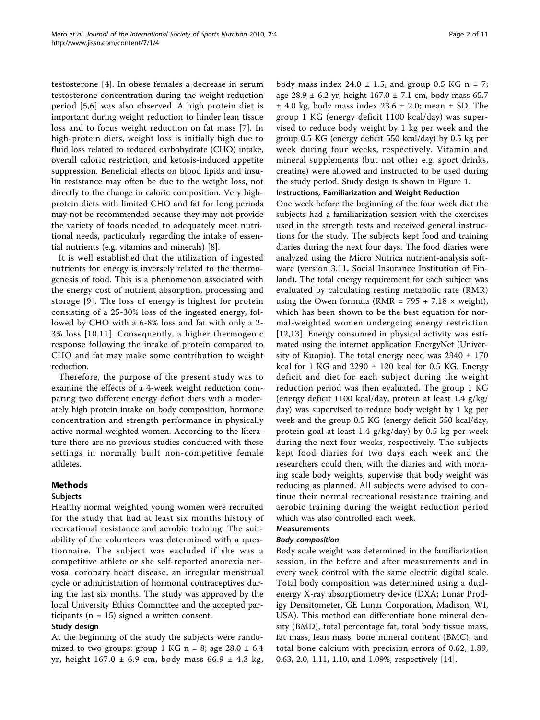testosterone [\[4\]](#page-9-0). In obese females a decrease in serum testosterone concentration during the weight reduction period [[5,6](#page-9-0)] was also observed. A high protein diet is important during weight reduction to hinder lean tissue loss and to focus weight reduction on fat mass [\[7](#page-9-0)]. In high-protein diets, weight loss is initially high due to fluid loss related to reduced carbohydrate (CHO) intake, overall caloric restriction, and ketosis-induced appetite suppression. Beneficial effects on blood lipids and insulin resistance may often be due to the weight loss, not directly to the change in caloric composition. Very highprotein diets with limited CHO and fat for long periods may not be recommended because they may not provide the variety of foods needed to adequately meet nutritional needs, particularly regarding the intake of essential nutrients (e.g. vitamins and minerals) [\[8](#page-9-0)].

It is well established that the utilization of ingested nutrients for energy is inversely related to the thermogenesis of food. This is a phenomenon associated with the energy cost of nutrient absorption, processing and storage [[9\]](#page-9-0). The loss of energy is highest for protein consisting of a 25-30% loss of the ingested energy, followed by CHO with a 6-8% loss and fat with only a 2- 3% loss [[10](#page-9-0),[11](#page-9-0)]. Consequently, a higher thermogenic response following the intake of protein compared to CHO and fat may make some contribution to weight reduction.

Therefore, the purpose of the present study was to examine the effects of a 4-week weight reduction comparing two different energy deficit diets with a moderately high protein intake on body composition, hormone concentration and strength performance in physically active normal weighted women. According to the literature there are no previous studies conducted with these settings in normally built non-competitive female athletes.

# Methods

#### Subjects

Healthy normal weighted young women were recruited for the study that had at least six months history of recreational resistance and aerobic training. The suitability of the volunteers was determined with a questionnaire. The subject was excluded if she was a competitive athlete or she self-reported anorexia nervosa, coronary heart disease, an irregular menstrual cycle or administration of hormonal contraceptives during the last six months. The study was approved by the local University Ethics Committee and the accepted participants ( $n = 15$ ) signed a written consent.

#### Study design

At the beginning of the study the subjects were randomized to two groups: group 1 KG  $n = 8$ ; age 28.0  $\pm$  6.4 yr, height 167.0 ± 6.9 cm, body mass 66.9 ± 4.3 kg, body mass index  $24.0 \pm 1.5$ , and group 0.5 KG n = 7; age 28.9  $\pm$  6.2 yr, height 167.0  $\pm$  7.1 cm, body mass 65.7  $±$  4.0 kg, body mass index 23.6  $±$  2.0; mean  $±$  SD. The group 1 KG (energy deficit 1100 kcal/day) was supervised to reduce body weight by 1 kg per week and the group 0.5 KG (energy deficit 550 kcal/day) by 0.5 kg per week during four weeks, respectively. Vitamin and mineral supplements (but not other e.g. sport drinks, creatine) were allowed and instructed to be used during the study period. Study design is shown in Figure [1.](#page-2-0) Instructions, Familiarization and Weight Reduction

One week before the beginning of the four week diet the subjects had a familiarization session with the exercises used in the strength tests and received general instructions for the study. The subjects kept food and training diaries during the next four days. The food diaries were analyzed using the Micro Nutrica nutrient-analysis software (version 3.11, Social Insurance Institution of Finland). The total energy requirement for each subject was evaluated by calculating resting metabolic rate (RMR) using the Owen formula (RMR =  $795 + 7.18 \times$  weight), which has been shown to be the best equation for normal-weighted women undergoing energy restriction [[12,13\]](#page-9-0). Energy consumed in physical activity was estimated using the internet application EnergyNet (University of Kuopio). The total energy need was  $2340 \pm 170$ kcal for 1 KG and  $2290 \pm 120$  kcal for 0.5 KG. Energy deficit and diet for each subject during the weight reduction period was then evaluated. The group 1 KG (energy deficit 1100 kcal/day, protein at least 1.4 g/kg/ day) was supervised to reduce body weight by 1 kg per week and the group 0.5 KG (energy deficit 550 kcal/day, protein goal at least 1.4 g/kg/day) by 0.5 kg per week during the next four weeks, respectively. The subjects kept food diaries for two days each week and the researchers could then, with the diaries and with morning scale body weights, supervise that body weight was reducing as planned. All subjects were advised to continue their normal recreational resistance training and aerobic training during the weight reduction period which was also controlled each week.

#### Measurements

#### Body composition

Body scale weight was determined in the familiarization session, in the before and after measurements and in every week control with the same electric digital scale. Total body composition was determined using a dualenergy X-ray absorptiometry device (DXA; Lunar Prodigy Densitometer, GE Lunar Corporation, Madison, WI, USA). This method can differentiate bone mineral density (BMD), total percentage fat, total body tissue mass, fat mass, lean mass, bone mineral content (BMC), and total bone calcium with precision errors of 0.62, 1.89, 0.63, 2.0, 1.11, 1.10, and 1.09%, respectively [\[14](#page-9-0)].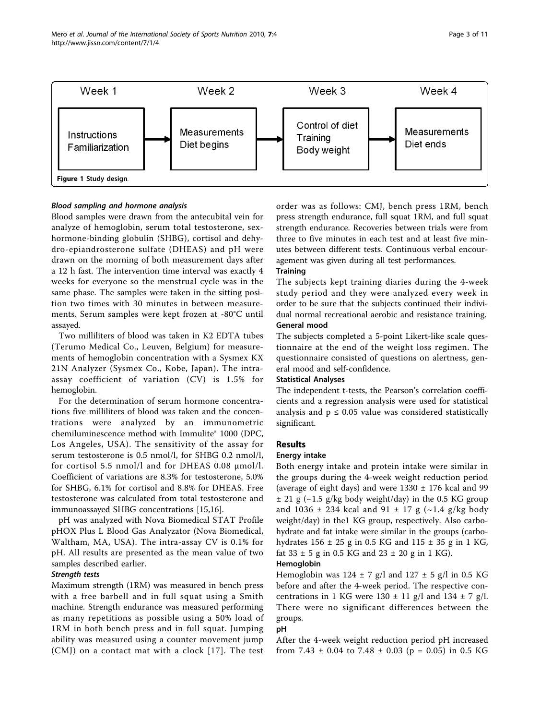<span id="page-2-0"></span>Mero et al. Journal of the International Society of Sports Nutrition 2010, 7:4 http://www.jissn.com/content/7/1/4



#### Blood sampling and hormone analysis

Blood samples were drawn from the antecubital vein for analyze of hemoglobin, serum total testosterone, sexhormone-binding globulin (SHBG), cortisol and dehydro-epiandrosterone sulfate (DHEAS) and pH were drawn on the morning of both measurement days after a 12 h fast. The intervention time interval was exactly 4 weeks for everyone so the menstrual cycle was in the same phase. The samples were taken in the sitting position two times with 30 minutes in between measurements. Serum samples were kept frozen at -80°C until assayed.

Two milliliters of blood was taken in K2 EDTA tubes (Terumo Medical Co., Leuven, Belgium) for measurements of hemoglobin concentration with a Sysmex KX 21N Analyzer (Sysmex Co., Kobe, Japan). The intraassay coefficient of variation (CV) is 1.5% for hemoglobin.

For the determination of serum hormone concentrations five milliliters of blood was taken and the concentrations were analyzed by an immunometric chemiluminescence method with Immulite® 1000 (DPC, Los Angeles, USA). The sensitivity of the assay for serum testosterone is 0.5 nmol/l, for SHBG 0.2 nmol/l, for cortisol 5.5 nmol/l and for DHEAS 0.08 μmol/l. Coefficient of variations are 8.3% for testosterone, 5.0% for SHBG, 6.1% for cortisol and 8.8% for DHEAS. Free testosterone was calculated from total testosterone and immunoassayed SHBG concentrations [[15,16\]](#page-9-0).

pH was analyzed with Nova Biomedical STAT Profile pHOX Plus L Blood Gas Analyzator (Nova Biomedical, Waltham, MA, USA). The intra-assay CV is 0.1% for pH. All results are presented as the mean value of two samples described earlier.

#### Strength tests

Maximum strength (1RM) was measured in bench press with a free barbell and in full squat using a Smith machine. Strength endurance was measured performing as many repetitions as possible using a 50% load of 1RM in both bench press and in full squat. Jumping ability was measured using a counter movement jump (CMJ) on a contact mat with a clock [[17](#page-9-0)]. The test

order was as follows: CMJ, bench press 1RM, bench press strength endurance, full squat 1RM, and full squat strength endurance. Recoveries between trials were from three to five minutes in each test and at least five minutes between different tests. Continuous verbal encouragement was given during all test performances.

# **Training**

The subjects kept training diaries during the 4-week study period and they were analyzed every week in order to be sure that the subjects continued their individual normal recreational aerobic and resistance training. General mood

The subjects completed a 5-point Likert-like scale questionnaire at the end of the weight loss regimen. The questionnaire consisted of questions on alertness, general mood and self-confidence.

#### Statistical Analyses

The independent t-tests, the Pearson's correlation coefficients and a regression analysis were used for statistical analysis and  $p \leq 0.05$  value was considered statistically significant.

# Results

# Energy intake

Both energy intake and protein intake were similar in the groups during the 4-week weight reduction period (average of eight days) and were  $1330 \pm 176$  kcal and 99  $\pm$  21 g (~1.5 g/kg body weight/day) in the 0.5 KG group and 1036  $\pm$  234 kcal and 91  $\pm$  17 g (~1.4 g/kg body weight/day) in the1 KG group, respectively. Also carbohydrate and fat intake were similar in the groups (carbohydrates  $156 \pm 25$  g in 0.5 KG and  $115 \pm 35$  g in 1 KG, fat  $33 \pm 5$  g in 0.5 KG and  $23 \pm 20$  g in 1 KG).

#### Hemoglobin

Hemoglobin was  $124 \pm 7$  g/l and  $127 \pm 5$  g/l in 0.5 KG before and after the 4-week period. The respective concentrations in 1 KG were  $130 \pm 11$  g/l and  $134 \pm 7$  g/l. There were no significant differences between the groups.

# pH

After the 4-week weight reduction period pH increased from 7.43  $\pm$  0.04 to 7.48  $\pm$  0.03 (p = 0.05) in 0.5 KG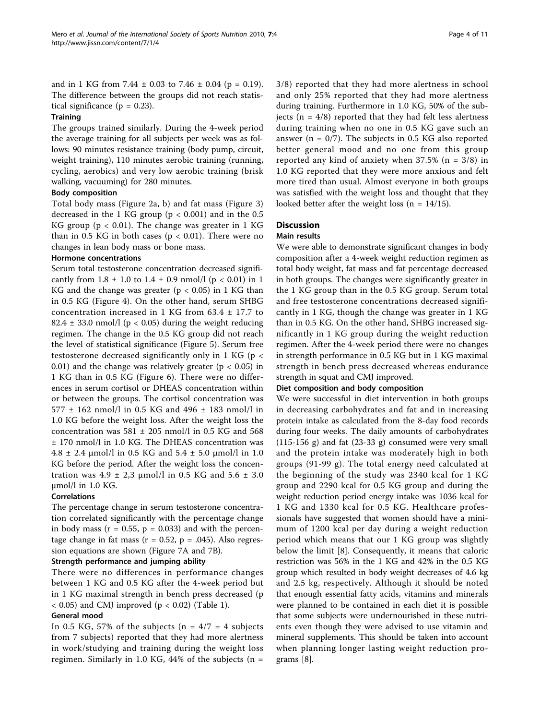and in 1 KG from 7.44  $\pm$  0.03 to 7.46  $\pm$  0.04 (p = 0.19). The difference between the groups did not reach statistical significance ( $p = 0.23$ ).

#### **Training**

The groups trained similarly. During the 4-week period the average training for all subjects per week was as follows: 90 minutes resistance training (body pump, circuit, weight training), 110 minutes aerobic training (running, cycling, aerobics) and very low aerobic training (brisk walking, vacuuming) for 280 minutes.

# Body composition

Total body mass (Figure [2a, b\)](#page-4-0) and fat mass (Figure [3](#page-5-0)) decreased in the 1 KG group ( $p < 0.001$ ) and in the 0.5 KG group ( $p < 0.01$ ). The change was greater in 1 KG than in 0.5 KG in both cases ( $p < 0.01$ ). There were no changes in lean body mass or bone mass.

# Hormone concentrations

Serum total testosterone concentration decreased significantly from  $1.8 \pm 1.0$  to  $1.4 \pm 0.9$  nmol/l (p < 0.01) in 1 KG and the change was greater ( $p < 0.05$ ) in 1 KG than in 0.5 KG (Figure [4](#page-5-0)). On the other hand, serum SHBG concentration increased in 1 KG from 63.4 ± 17.7 to 82.4  $\pm$  33.0 nmol/l (p < 0.05) during the weight reducing regimen. The change in the 0.5 KG group did not reach the level of statistical significance (Figure [5](#page-6-0)). Serum free testosterone decreased significantly only in 1 KG (p < 0.01) and the change was relatively greater ( $p < 0.05$ ) in 1 KG than in 0.5 KG (Figure [6](#page-6-0)). There were no differences in serum cortisol or DHEAS concentration within or between the groups. The cortisol concentration was 577 ± 162 nmol/l in 0.5 KG and 496 ± 183 nmol/l in 1.0 KG before the weight loss. After the weight loss the concentration was  $581 \pm 205$  nmol/l in 0.5 KG and 568 ± 170 nmol/l in 1.0 KG. The DHEAS concentration was  $4.8 \pm 2.4 \text{ }\mu\text{mol/l}$  in 0.5 KG and  $5.4 \pm 5.0 \text{ }\mu\text{mol/l}$  in 1.0 KG before the period. After the weight loss the concentration was  $4.9 \pm 2.3$  μmol/l in 0.5 KG and  $5.6 \pm 3.0$ μmol/l in 1.0 KG.

#### Correlations

The percentage change in serum testosterone concentration correlated significantly with the percentage change in body mass ( $r = 0.55$ ,  $p = 0.033$ ) and with the percentage change in fat mass ( $r = 0.52$ ,  $p = .045$ ). Also regression equations are shown (Figure [7A](#page-7-0) and [7B](#page-7-0)).

#### Strength performance and jumping ability

There were no differences in performance changes between 1 KG and 0.5 KG after the 4-week period but in 1 KG maximal strength in bench press decreased (p  $<$  0.05) and CMJ improved (p  $<$  0.02) (Table [1\)](#page-7-0).

#### General mood

In 0.5 KG, 57% of the subjects ( $n = 4/7 = 4$  subjects from 7 subjects) reported that they had more alertness in work/studying and training during the weight loss regimen. Similarly in 1.0 KG, 44% of the subjects  $(n =$ 

3/8) reported that they had more alertness in school and only 25% reported that they had more alertness during training. Furthermore in 1.0 KG, 50% of the subjects ( $n = 4/8$ ) reported that they had felt less alertness during training when no one in 0.5 KG gave such an answer ( $n = 0/7$ ). The subjects in 0.5 KG also reported better general mood and no one from this group reported any kind of anxiety when  $37.5\%$  (n = 3/8) in 1.0 KG reported that they were more anxious and felt more tired than usual. Almost everyone in both groups was satisfied with the weight loss and thought that they looked better after the weight loss ( $n = 14/15$ ).

# **Discussion**

#### Main results

We were able to demonstrate significant changes in body composition after a 4-week weight reduction regimen as total body weight, fat mass and fat percentage decreased in both groups. The changes were significantly greater in the 1 KG group than in the 0.5 KG group. Serum total and free testosterone concentrations decreased significantly in 1 KG, though the change was greater in 1 KG than in 0.5 KG. On the other hand, SHBG increased significantly in 1 KG group during the weight reduction regimen. After the 4-week period there were no changes in strength performance in 0.5 KG but in 1 KG maximal strength in bench press decreased whereas endurance strength in squat and CMJ improved.

#### Diet composition and body composition

We were successful in diet intervention in both groups in decreasing carbohydrates and fat and in increasing protein intake as calculated from the 8-day food records during four weeks. The daily amounts of carbohydrates (115-156 g) and fat (23-33 g) consumed were very small and the protein intake was moderately high in both groups (91-99 g). The total energy need calculated at the beginning of the study was 2340 kcal for 1 KG group and 2290 kcal for 0.5 KG group and during the weight reduction period energy intake was 1036 kcal for 1 KG and 1330 kcal for 0.5 KG. Healthcare professionals have suggested that women should have a minimum of 1200 kcal per day during a weight reduction period which means that our 1 KG group was slightly below the limit [\[8](#page-9-0)]. Consequently, it means that caloric restriction was 56% in the 1 KG and 42% in the 0.5 KG group which resulted in body weight decreases of 4.6 kg and 2.5 kg, respectively. Although it should be noted that enough essential fatty acids, vitamins and minerals were planned to be contained in each diet it is possible that some subjects were undernourished in these nutrients even though they were advised to use vitamin and mineral supplements. This should be taken into account when planning longer lasting weight reduction programs [[8\]](#page-9-0).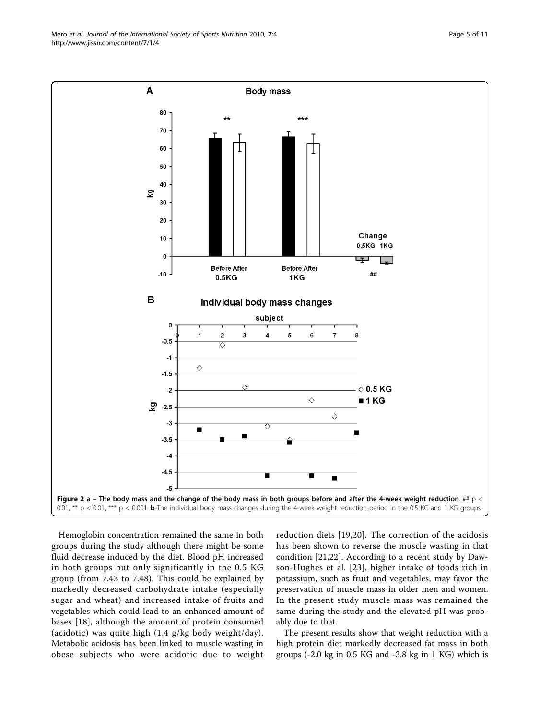Hemoglobin concentration remained the same in both groups during the study although there might be some fluid decrease induced by the diet. Blood pH increased in both groups but only significantly in the 0.5 KG group (from 7.43 to 7.48). This could be explained by markedly decreased carbohydrate intake (especially sugar and wheat) and increased intake of fruits and vegetables which could lead to an enhanced amount of bases [[18](#page-9-0)], although the amount of protein consumed (acidotic) was quite high (1.4 g/kg body weight/day). Metabolic acidosis has been linked to muscle wasting in obese subjects who were acidotic due to weight

reduction diets [\[19,20](#page-9-0)]. The correction of the acidosis has been shown to reverse the muscle wasting in that condition [[21,22](#page-9-0)]. According to a recent study by Dawson-Hughes et al. [[23](#page-9-0)], higher intake of foods rich in potassium, such as fruit and vegetables, may favor the preservation of muscle mass in older men and women. In the present study muscle mass was remained the same during the study and the elevated pH was probably due to that.

The present results show that weight reduction with a high protein diet markedly decreased fat mass in both groups (-2.0 kg in 0.5 KG and -3.8 kg in 1 KG) which is

<span id="page-4-0"></span>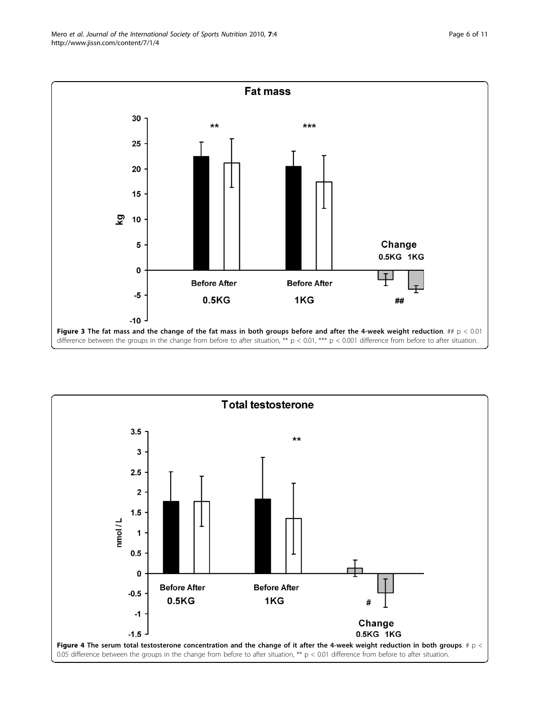<span id="page-5-0"></span>![](_page_5_Figure_2.jpeg)

![](_page_5_Figure_3.jpeg)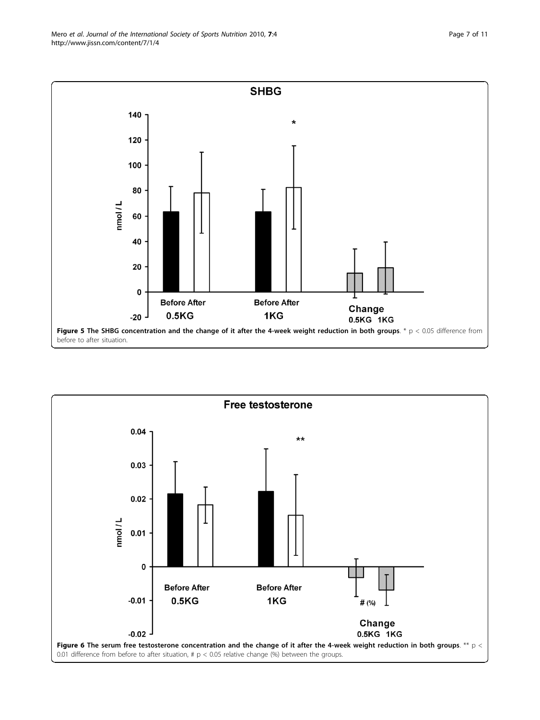<span id="page-6-0"></span>![](_page_6_Figure_1.jpeg)

![](_page_6_Figure_2.jpeg)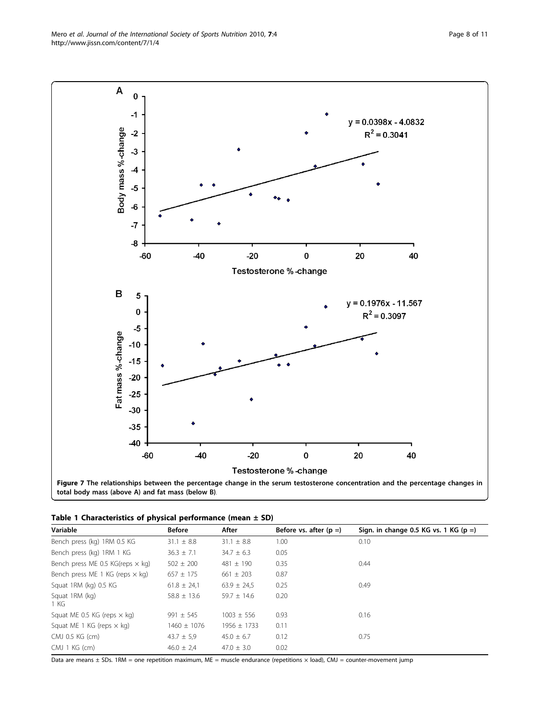Data are means ± SDs. 1RM = one repetition maximum, ME = muscle endurance (repetitions × load), CMJ = counter-movement jump

<span id="page-7-0"></span>![](_page_7_Figure_2.jpeg)

|  | Table 1 Characteristics of physical performance (mean $\pm$ SD) |  |  |
|--|-----------------------------------------------------------------|--|--|
|  |                                                                 |  |  |

| Variable                                | <b>Before</b>   | After           | Before vs. after $(p =)$ | Sign. in change 0.5 KG vs. 1 KG ( $p =$ ) |
|-----------------------------------------|-----------------|-----------------|--------------------------|-------------------------------------------|
| Bench press (kg) 1RM 0.5 KG             | $31.1 \pm 8.8$  | $31.1 \pm 8.8$  | 1.00                     | 0.10                                      |
| Bench press (kg) 1RM 1 KG               | $36.3 \pm 7.1$  | $34.7 \pm 6.3$  | 0.05                     |                                           |
| Bench press ME 0.5 KG(reps $\times$ kg) | $502 \pm 200$   | $481 \pm 190$   | 0.35                     | 0.44                                      |
| Bench press ME 1 KG (reps $\times$ kg)  | $657 \pm 175$   | $661 \pm 203$   | 0.87                     |                                           |
| Squat 1RM (kg) 0.5 KG                   | $61.8 \pm 24.1$ | $63.9 \pm 24.5$ | 0.25                     | 0.49                                      |
| Squat 1RM (kg)<br>1 KG                  | $58.8 \pm 13.6$ | $59.7 + 14.6$   | 0.20                     |                                           |
| Squat ME 0.5 KG (reps $\times$ kg)      | $991 \pm 545$   | $1003 \pm 556$  | 0.93                     | 0.16                                      |
| Squat ME 1 KG (reps $\times$ kg)        | $1460 \pm 1076$ | $1956 \pm 1733$ | 0.11                     |                                           |
| CMJ 0.5 KG (cm)                         | $43.7 \pm 5.9$  | $45.0 + 6.7$    | 0.12                     | 0.75                                      |
| $CMJ$ 1 KG $(cm)$                       | $46.0 \pm 2.4$  | $47.0 \pm 3.0$  | 0.02                     |                                           |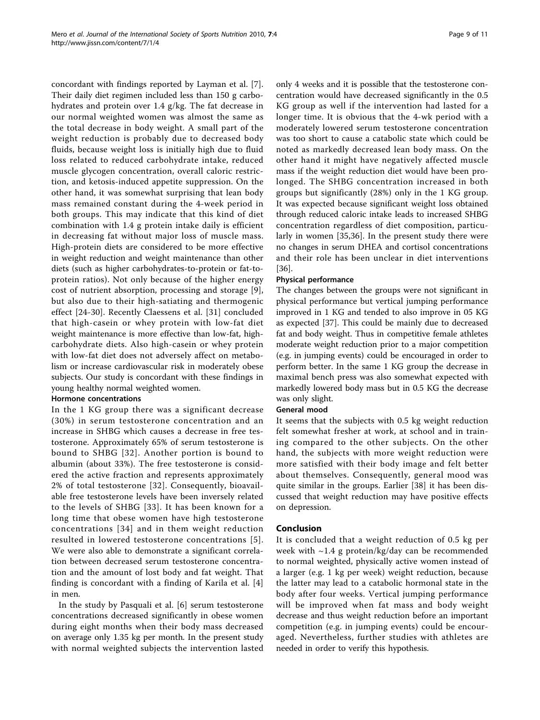concordant with findings reported by Layman et al. [\[7](#page-9-0)]. Their daily diet regimen included less than 150 g carbohydrates and protein over 1.4 g/kg. The fat decrease in our normal weighted women was almost the same as the total decrease in body weight. A small part of the weight reduction is probably due to decreased body fluids, because weight loss is initially high due to fluid loss related to reduced carbohydrate intake, reduced muscle glycogen concentration, overall caloric restriction, and ketosis-induced appetite suppression. On the other hand, it was somewhat surprising that lean body mass remained constant during the 4-week period in both groups. This may indicate that this kind of diet combination with 1.4 g protein intake daily is efficient in decreasing fat without major loss of muscle mass. High-protein diets are considered to be more effective in weight reduction and weight maintenance than other diets (such as higher carbohydrates-to-protein or fat-toprotein ratios). Not only because of the higher energy cost of nutrient absorption, processing and storage [[9](#page-9-0)], but also due to their high-satiating and thermogenic effect [\[24-30](#page-9-0)]. Recently Claessens et al. [[31\]](#page-9-0) concluded that high-casein or whey protein with low-fat diet weight maintenance is more effective than low-fat, highcarbohydrate diets. Also high-casein or whey protein with low-fat diet does not adversely affect on metabolism or increase cardiovascular risk in moderately obese subjects. Our study is concordant with these findings in young healthy normal weighted women.

#### Hormone concentrations

In the 1 KG group there was a significant decrease (30%) in serum testosterone concentration and an increase in SHBG which causes a decrease in free testosterone. Approximately 65% of serum testosterone is bound to SHBG [[32\]](#page-9-0). Another portion is bound to albumin (about 33%). The free testosterone is considered the active fraction and represents approximately 2% of total testosterone [\[32\]](#page-9-0). Consequently, bioavailable free testosterone levels have been inversely related to the levels of SHBG [[33\]](#page-9-0). It has been known for a long time that obese women have high testosterone concentrations [[34\]](#page-9-0) and in them weight reduction resulted in lowered testosterone concentrations [\[5\]](#page-9-0). We were also able to demonstrate a significant correlation between decreased serum testosterone concentration and the amount of lost body and fat weight. That finding is concordant with a finding of Karila et al. [\[4](#page-9-0)] in men.

In the study by Pasquali et al. [\[6](#page-9-0)] serum testosterone concentrations decreased significantly in obese women during eight months when their body mass decreased on average only 1.35 kg per month. In the present study with normal weighted subjects the intervention lasted only 4 weeks and it is possible that the testosterone concentration would have decreased significantly in the 0.5 KG group as well if the intervention had lasted for a longer time. It is obvious that the 4-wk period with a moderately lowered serum testosterone concentration was too short to cause a catabolic state which could be noted as markedly decreased lean body mass. On the other hand it might have negatively affected muscle mass if the weight reduction diet would have been prolonged. The SHBG concentration increased in both groups but significantly (28%) only in the 1 KG group. It was expected because significant weight loss obtained through reduced caloric intake leads to increased SHBG concentration regardless of diet composition, particularly in women [[35,36\]](#page-9-0). In the present study there were no changes in serum DHEA and cortisol concentrations and their role has been unclear in diet interventions [[36\]](#page-9-0).

# Physical performance

The changes between the groups were not significant in physical performance but vertical jumping performance improved in 1 KG and tended to also improve in 05 KG as expected [[37\]](#page-10-0). This could be mainly due to decreased fat and body weight. Thus in competitive female athletes moderate weight reduction prior to a major competition (e.g. in jumping events) could be encouraged in order to perform better. In the same 1 KG group the decrease in maximal bench press was also somewhat expected with markedly lowered body mass but in 0.5 KG the decrease was only slight.

# General mood

It seems that the subjects with 0.5 kg weight reduction felt somewhat fresher at work, at school and in training compared to the other subjects. On the other hand, the subjects with more weight reduction were more satisfied with their body image and felt better about themselves. Consequently, general mood was quite similar in the groups. Earlier [[38](#page-10-0)] it has been discussed that weight reduction may have positive effects on depression.

# Conclusion

It is concluded that a weight reduction of 0.5 kg per week with ~1.4 g protein/kg/day can be recommended to normal weighted, physically active women instead of a larger (e.g. 1 kg per week) weight reduction, because the latter may lead to a catabolic hormonal state in the body after four weeks. Vertical jumping performance will be improved when fat mass and body weight decrease and thus weight reduction before an important competition (e.g. in jumping events) could be encouraged. Nevertheless, further studies with athletes are needed in order to verify this hypothesis.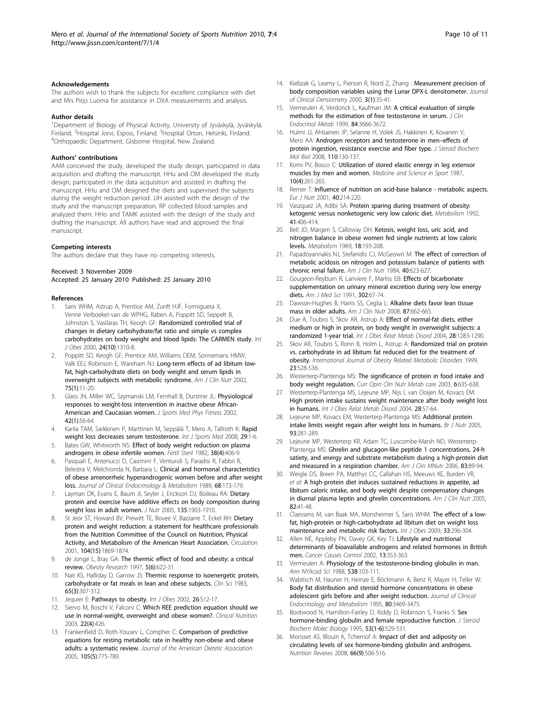#### <span id="page-9-0"></span>Acknowledgements

The authors wish to thank the subjects for excellent compliance with diet and Mrs Pirjo Luoma for assistance in DXA measurements and analysis.

#### Author details

<sup>1</sup>Department of Biology of Physical Activity, University of Jyväskylä, Jyväskylä, Finland. <sup>2</sup> Hospital Jorvi, Espoo, Finland. <sup>3</sup> Hospital Orton, Helsinki, Finland.<br><sup>4</sup> Orthopaedic Department, Gisborne, Hospital, New Zealand. Orthopaedic Department, Gisborne Hospital, New Zealand.

#### Authors' contributions

AAM conceived the study, developed the study design, participated in data acquisition and drafting the manuscript. HHu and OM developed the study design, participated in the data acquisition and assisted in drafting the manuscript. HHu and OM designed the diets and supervised the subjects during the weight reduction period. JJH assisted with the design of the study and the manuscript preparation. RP collected blood samples and analyzed them. HHo and TAMK assisted with the design of the study and drafting the manuscript. All authors have read and approved the final manuscript.

#### Competing interests

The authors declare that they have no competing interests.

#### Received: 3 November 2009

Accepted: 25 January 2010 Published: 25 January 2010

#### References

- 1. Saris WHM, Astrup A, Prentice AM, Zunft HJF, Formiguera X, Venne Verboeket-van de WPHG, Raben A, Poppitt SD, Seppelt B, Johnston S, Vasilaras TH, Keogh GF: Randomized controlled trial of changes in dietary carbohydrate/fat ratio and simple vs complex carbohydrates on body weight and blood lipids: The CARMEN study. Int J Obes 2000, 24(10):1310-8.
- 2. Poppitt SD, Keogh GF, Prentice AM, Williams DEM, Sonnemans HMW, Valk EEJ, Robinson E, Wareham NJ: [Long-term effects of ad libitum low](http://www.ncbi.nlm.nih.gov/pubmed/11756055?dopt=Abstract)[fat, high-carbohydrate diets on body weight and serum lipids in](http://www.ncbi.nlm.nih.gov/pubmed/11756055?dopt=Abstract) [overweight subjects with metabolic syndrome.](http://www.ncbi.nlm.nih.gov/pubmed/11756055?dopt=Abstract) Am J Clin Nutr 2002, 75(1):11-20.
- 3. Glass JN, Miller WC, Szymanski LM, Fernhall B, Durstine JL: [Physiological](http://www.ncbi.nlm.nih.gov/pubmed/11832875?dopt=Abstract) [responses to weight-loss intervention in inactive obese African-](http://www.ncbi.nlm.nih.gov/pubmed/11832875?dopt=Abstract)[American and Caucasian women.](http://www.ncbi.nlm.nih.gov/pubmed/11832875?dopt=Abstract) J Sports Med Phys Fitness 2002, 42(1):56-64.
- 4. Karila TAM, Sarkkinen P, Marttinen M, Seppälä T, Mero A, Tallroth K: [Rapid](http://www.ncbi.nlm.nih.gov/pubmed/18050057?dopt=Abstract) [weight loss decreases serum testosterone.](http://www.ncbi.nlm.nih.gov/pubmed/18050057?dopt=Abstract) Int J Sports Med 2008, 29:1-6.
- 5. Bates GW, Whitworth NS: [Effect of body weight reduction on plasma](http://www.ncbi.nlm.nih.gov/pubmed/6811336?dopt=Abstract) [androgens in obese infertile women.](http://www.ncbi.nlm.nih.gov/pubmed/6811336?dopt=Abstract) Fertil Steril 1982, 38(4):406-9.
- 6. Pasquali E, Antenucci D, Casimirri F, Venturoli S, Paradisi R, Fabbri R, Belestra V, Melchionda N, Barbara L: Clinical and hormonal characteristics of obese amenorrheic hyperandrogenic women before and after weight loss. Journal of Clinical Endocrinology & Metabolism 1989, 68:173-179.
- 7. Layman DK, Evans E, Baum JI, Seyler J, Erickson DJ, Boileau RA: [Dietary](http://www.ncbi.nlm.nih.gov/pubmed/16046715?dopt=Abstract) [protein and exercise have additive effects on body composition during](http://www.ncbi.nlm.nih.gov/pubmed/16046715?dopt=Abstract) [weight loss in adult women.](http://www.ncbi.nlm.nih.gov/pubmed/16046715?dopt=Abstract) J Nutr 2005, 135:1903-1910.
- 8. St Jeor ST, Howard BV, Prewitt TE, Bovee V, Bazzarre T, Eckel RH: [Dietary](http://www.ncbi.nlm.nih.gov/pubmed/11591629?dopt=Abstract) [protein and weight reduction: a statement for healthcare professionals](http://www.ncbi.nlm.nih.gov/pubmed/11591629?dopt=Abstract) [from the Nutrition Committee of the Council on Nutrition, Physical](http://www.ncbi.nlm.nih.gov/pubmed/11591629?dopt=Abstract) [Activity, and Metabolism of the American Heart Association.](http://www.ncbi.nlm.nih.gov/pubmed/11591629?dopt=Abstract) Circulation 2001, 104(15):1869-1874.
- 9. de Jonge L, Bray GA: [The thermic effect of food and obesity: a critical](http://www.ncbi.nlm.nih.gov/pubmed/9449148?dopt=Abstract) [review.](http://www.ncbi.nlm.nih.gov/pubmed/9449148?dopt=Abstract) Obesity Research 1997, 5(6):622-31.
- 10. Nair KS, Halliday D, Garrow JS: [Thermic response to isoenergetic protein,](http://www.ncbi.nlm.nih.gov/pubmed/6347500?dopt=Abstract) [carbohydrate or fat meals in lean and obese subjects.](http://www.ncbi.nlm.nih.gov/pubmed/6347500?dopt=Abstract) Clin Sci 1983, 65(3):307-312.
- 11. Jequier E: Pathways to obesity. Int J Obes 2002, 26:S12-17.
- 12. Siervo M, Boschi V, Falconi C: [Which REE prediction equation should we](http://www.ncbi.nlm.nih.gov/pubmed/12880613?dopt=Abstract) [use in normal-weight, overweight and obese women?.](http://www.ncbi.nlm.nih.gov/pubmed/12880613?dopt=Abstract) Clinical Nutrition 2003, 22(4):426.
- 13. Frankenfield D, Roth-Yousev L, Compher C: [Comparison of predictive](http://www.ncbi.nlm.nih.gov/pubmed/15883556?dopt=Abstract) [equations for resting metabolic rate in healthy non-obese and obese](http://www.ncbi.nlm.nih.gov/pubmed/15883556?dopt=Abstract) [adults: a systematic review.](http://www.ncbi.nlm.nih.gov/pubmed/15883556?dopt=Abstract) Journal of the American Dietetic Association 2005, 105(5):775-789.
- 14. Kiebzak G, Leamy L, Pierson R, Nord Z, Zhang : Measurement precision of body composition variables using the Lunar DPX-L densitometer. Journal of Clinical Densiometry 2000, 3(1):35-41.
- 15. Vermeulen A, Verdonck L, Kaufman JM: [A critical evaluation of simple](http://www.ncbi.nlm.nih.gov/pubmed/10523012?dopt=Abstract) [methods for the estimation of free testosterone in serum.](http://www.ncbi.nlm.nih.gov/pubmed/10523012?dopt=Abstract) *J Clin* Endocrinol Metab 1999, 84:3666-3672.
- 16. Hulmi JJ, Ahtiainen JP, Selanne H, Volek JS, Hakkinen K, Kovanen V, Mero AA: [Androgen receptors and testosterone in men](http://www.ncbi.nlm.nih.gov/pubmed/18455389?dopt=Abstract)–effects of [protein ingestion, resistance exercise and fiber type.](http://www.ncbi.nlm.nih.gov/pubmed/18455389?dopt=Abstract) J Steroid Biochem Mol Biol 2008, 110:130-137.
- 17. Komi PV, Bosco C: Utilization of stored elastic energy in leg extensor muscles by men and women. Medicine and Science in Sport 1987, 10(4):261-265.
- 18. Remer T: [Influence of nutrition on acid-base balance metabolic aspects.](http://www.ncbi.nlm.nih.gov/pubmed/11842946?dopt=Abstract) Eur J Nutr 2001, 40:214-220.
- 19. Vaszquez JA, Adibi SA: [Protein sparing during treatment of obesity:](http://www.ncbi.nlm.nih.gov/pubmed/1556948?dopt=Abstract) [ketogenic versus nonketogenic very low caloric diet.](http://www.ncbi.nlm.nih.gov/pubmed/1556948?dopt=Abstract) Metabolism 1992, 41:406-414.
- 20. Bell JD, Margen S, Calloway DH: [Ketosis, weight loss, uric acid, and](http://www.ncbi.nlm.nih.gov/pubmed/4887615?dopt=Abstract) [nitrogen balance in obese women fed single nutrients at low caloric](http://www.ncbi.nlm.nih.gov/pubmed/4887615?dopt=Abstract) [levels.](http://www.ncbi.nlm.nih.gov/pubmed/4887615?dopt=Abstract) Metabolism 1969, 18:193-208.
- 21. Papadoyannakis NJ, Stefanidis CJ, McGeown M: [The effect of correction of](http://www.ncbi.nlm.nih.gov/pubmed/6089541?dopt=Abstract) [metabolic acidosis on nitrogen and potassium balance of patients with](http://www.ncbi.nlm.nih.gov/pubmed/6089541?dopt=Abstract) [chronic renal failure.](http://www.ncbi.nlm.nih.gov/pubmed/6089541?dopt=Abstract) Am J Clin Nutr 1984, 40:623-627.
- 22. Gougeon-Reyburn R, Lariviere F, Marliss EB: [Effects of bicarbonate](http://www.ncbi.nlm.nih.gov/pubmed/1897560?dopt=Abstract) [supplementation on urinary mineral excretion during very low energy](http://www.ncbi.nlm.nih.gov/pubmed/1897560?dopt=Abstract) [diets.](http://www.ncbi.nlm.nih.gov/pubmed/1897560?dopt=Abstract) Am J Med Sci 1991, 302:67-74.
- 23. Dawson-Hughes B, Harris SS, Ceglia L: [Alkaline diets favor lean tissue](http://www.ncbi.nlm.nih.gov/pubmed/18326605?dopt=Abstract) [mass in older adults.](http://www.ncbi.nlm.nih.gov/pubmed/18326605?dopt=Abstract) Am J Clin Nutr 2008, 87:662-665.
- 24. Due A, Toubro S, Skov AR, Astrup A: [Effect of normal-fat diets, either](http://www.ncbi.nlm.nih.gov/pubmed/15303109?dopt=Abstract) [medium or high in protein, on body weight in overweight subjects: a](http://www.ncbi.nlm.nih.gov/pubmed/15303109?dopt=Abstract) [randomized 1-year trial.](http://www.ncbi.nlm.nih.gov/pubmed/15303109?dopt=Abstract) Int J Obes Relat Metab Disord 2004, 28:1283-1290.
- 25. Skov AR, Toubro S, Ronn B, Holm L, Astrup A: Randomized trial on protein vs. carbohydrate in ad libitum fat reduced diet for the treatment of obesity. International Journal of Obesity Related Metabolic Disorders 1999, 23:528-536.
- 26. Westerterp-Plantenga MS: [The significance of protein in food intake and](http://www.ncbi.nlm.nih.gov/pubmed/14557793?dopt=Abstract) [body weight regulation.](http://www.ncbi.nlm.nih.gov/pubmed/14557793?dopt=Abstract) Curr Opin Clin Nutr Metab care 2003, 6:635-638.
- 27. Westerterp-Plantenga MS, Lejeune MP, Nijs I, van Ooijen M, Kovacs EM: [High protein intake sustains weight maintenance after body weight loss](http://www.ncbi.nlm.nih.gov/pubmed/14710168?dopt=Abstract) [in humans.](http://www.ncbi.nlm.nih.gov/pubmed/14710168?dopt=Abstract) Int J Obes Relat Metab Disord 2004, 28:57-64.
- 28. Lejeune MP, Kovacs EM, Westerterp-Plantenga MS: [Additional protein](http://www.ncbi.nlm.nih.gov/pubmed/15788122?dopt=Abstract) [intake limits weight regain after weight loss in humans.](http://www.ncbi.nlm.nih.gov/pubmed/15788122?dopt=Abstract) Br J Nutr 2005, 93:281-289.
- 29. Lejeune MP, Westerterp KR, Adam TC, Luscombe-Marsh ND, Westerterp-Plantenga MS: Ghrelin and glucagon-like peptide 1 concentrations, 24-h satiety, and energy and substrate metabolism during a high-protein diet and measured in a respiration chamber. Am J Clin MNutr 2006, 83:89-94.
- 30. Weigle DS, Breen PA, Matthys CC, Callahan HS, Meeuws KE, Burden VR, et al: [A high-protein diet induces sustained reductions in appetite, ad](http://www.ncbi.nlm.nih.gov/pubmed/16002798?dopt=Abstract) [libitum caloric intake, and body weight despite compensatory changes](http://www.ncbi.nlm.nih.gov/pubmed/16002798?dopt=Abstract) [in diurnal plasma leptin and ghrelin concentrations.](http://www.ncbi.nlm.nih.gov/pubmed/16002798?dopt=Abstract) Am J Clin Nutr 2005, 82:41-48.
- 31. Claessens M, van Baak MA, Monsheimer S, Saris WHM: The effect of a lowfat, high-protein or high-carbohydrate ad libitum diet on weight loss maintenance and metabolic risk factors. Int J Obes 2009, 33:296-304.
- 32. Allen NE, Appleby PN, Davey GK, Key TJ: [Lifestyle and nutritional](http://www.ncbi.nlm.nih.gov/pubmed/12074505?dopt=Abstract) [determinants of bioavailable androgens and related hormones in British](http://www.ncbi.nlm.nih.gov/pubmed/12074505?dopt=Abstract) [men.](http://www.ncbi.nlm.nih.gov/pubmed/12074505?dopt=Abstract) Cancer Causes Control 2002, 13:353-363.
- 33. Vermeulen A: Physiology of the testosterone-binding globulin in man. Ann NYAcad Sci 1988, 538:103-111.
- 34. Wabtisch M, Hauner H, Heinze E, Böckmann A, Benz R, Mayer H, Teller W: [Body fat distribution and steroid hormone concentrations in obese](http://www.ncbi.nlm.nih.gov/pubmed/8530585?dopt=Abstract) [adolescent girls before and after weight reduction.](http://www.ncbi.nlm.nih.gov/pubmed/8530585?dopt=Abstract) Journal of Clinical Endocrinology and Metabolism 1995, 80:3469-3475.
- 35. Bootwood N, Hamilton-Fairley D, Kiddy D, Robinson S, Franks S: Sex hormone-binding globulin and female reproductive function. *J Steroid* Biochem Molec Biology 1995, 53(1-6):529-531.
- 36. Morisset AS, Blouin K, Tchernof A: [Impact of diet and adiposity on](http://www.ncbi.nlm.nih.gov/pubmed/18752474?dopt=Abstract) [circulating levels of sex hormone-binding globulin and androgens.](http://www.ncbi.nlm.nih.gov/pubmed/18752474?dopt=Abstract) Nutrition Reviews 2008, 66(9):506-516.